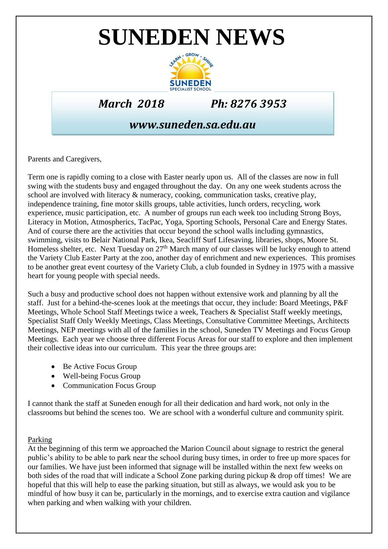# **SUNEDEN NEWS**



*March 2018 Ph: 8276 3953*

## *www.suneden.sa.edu.au*

Parents and Caregivers,

Term one is rapidly coming to a close with Easter nearly upon us. All of the classes are now in full swing with the students busy and engaged throughout the day. On any one week students across the school are involved with literacy & numeracy, cooking, communication tasks, creative play, independence training, fine motor skills groups, table activities, lunch orders, recycling, work experience, music participation, etc. A number of groups run each week too including Strong Boys, Literacy in Motion, Atmospherics, TacPac, Yoga, Sporting Schools, Personal Care and Energy States. And of course there are the activities that occur beyond the school walls including gymnastics, swimming, visits to Belair National Park, Ikea, Seacliff Surf Lifesaving, libraries, shops, Moore St. Homeless shelter, etc. Next Tuesday on 27<sup>th</sup> March many of our classes will be lucky enough to attend the Variety Club Easter Party at the zoo, another day of enrichment and new experiences. This promises to be another great event courtesy of the Variety Club, a club founded in Sydney in 1975 with a massive heart for young people with special needs.

Such a busy and productive school does not happen without extensive work and planning by all the staff. Just for a behind-the-scenes look at the meetings that occur, they include: Board Meetings, P&F Meetings, Whole School Staff Meetings twice a week, Teachers & Specialist Staff weekly meetings, Specialist Staff Only Weekly Meetings, Class Meetings, Consultative Committee Meetings, Architects Meetings, NEP meetings with all of the families in the school, Suneden TV Meetings and Focus Group Meetings. Each year we choose three different Focus Areas for our staff to explore and then implement their collective ideas into our curriculum. This year the three groups are:

- Be Active Focus Group
- Well-being Focus Group
- Communication Focus Group

I cannot thank the staff at Suneden enough for all their dedication and hard work, not only in the classrooms but behind the scenes too. We are school with a wonderful culture and community spirit.

### Parking

At the beginning of this term we approached the Marion Council about signage to restrict the general public's ability to be able to park near the school during busy times, in order to free up more spaces for our families. We have just been informed that signage will be installed within the next few weeks on both sides of the road that will indicate a School Zone parking during pickup & drop off times! We are hopeful that this will help to ease the parking situation, but still as always, we would ask you to be mindful of how busy it can be, particularly in the mornings, and to exercise extra caution and vigilance when parking and when walking with your children.